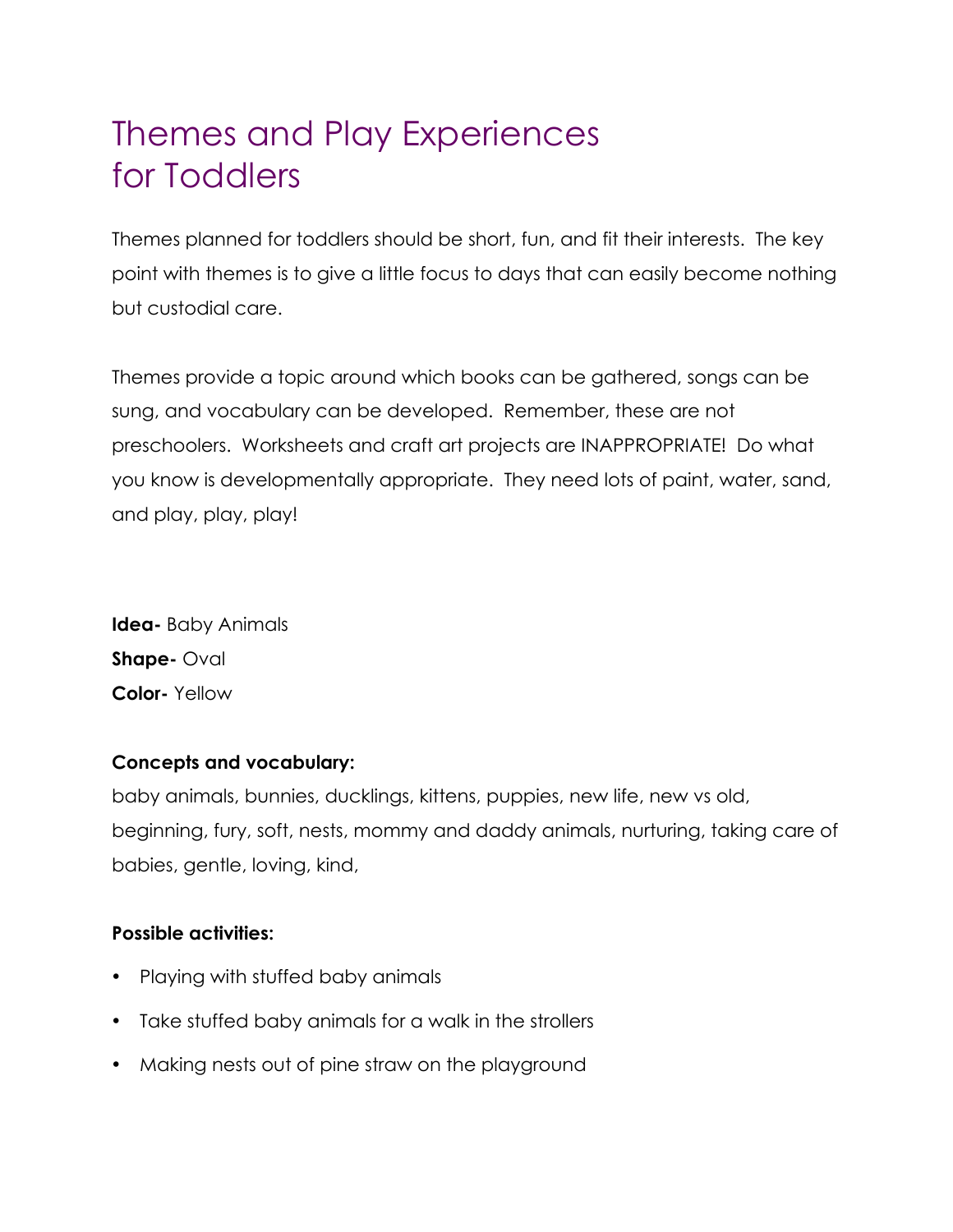# Themes and Play Experiences for Toddlers

Themes planned for toddlers should be short, fun, and fit their interests. The key point with themes is to give a little focus to days that can easily become nothing but custodial care.

Themes provide a topic around which books can be gathered, songs can be sung, and vocabulary can be developed. Remember, these are not preschoolers. Worksheets and craft art projects are INAPPROPRIATE! Do what you know is developmentally appropriate. They need lots of paint, water, sand, and play, play, play!

**Idea-** Baby Animals **Shape-** Oval **Color-** Yellow

# **Concepts and vocabulary:**

baby animals, bunnies, ducklings, kittens, puppies, new life, new vs old, beginning, fury, soft, nests, mommy and daddy animals, nurturing, taking care of babies, gentle, loving, kind,

- Playing with stuffed baby animals
- Take stuffed baby animals for a walk in the strollers
- Making nests out of pine straw on the playground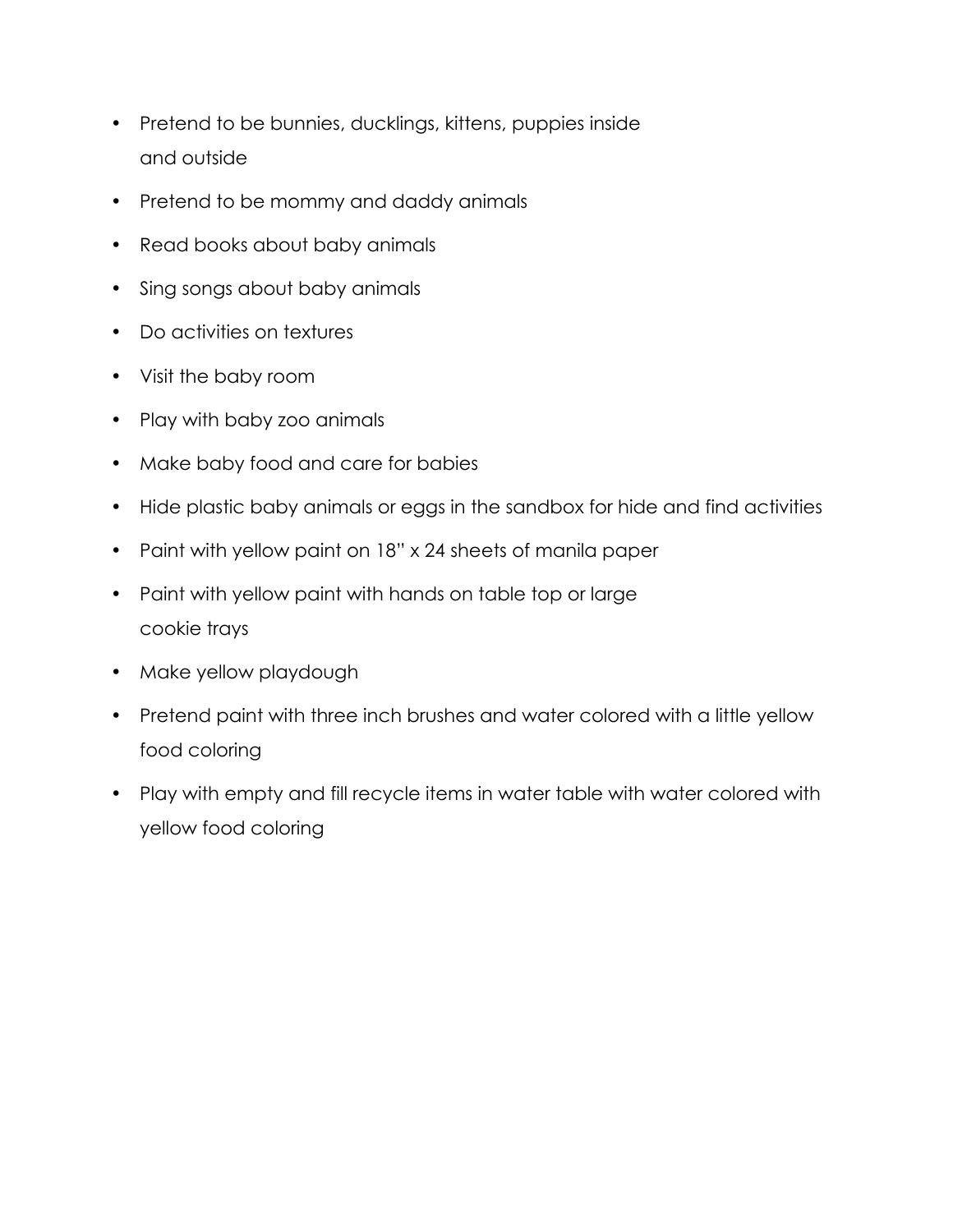- Pretend to be bunnies, ducklings, kittens, puppies inside and outside
- Pretend to be mommy and daddy animals
- Read books about baby animals
- Sing songs about baby animals
- Do activities on textures
- Visit the baby room
- Play with baby zoo animals
- Make baby food and care for babies
- Hide plastic baby animals or eggs in the sandbox for hide and find activities
- Paint with yellow paint on 18" x 24 sheets of manila paper
- Paint with yellow paint with hands on table top or large cookie trays
- Make yellow playdough
- Pretend paint with three inch brushes and water colored with a little yellow food coloring
- Play with empty and fill recycle items in water table with water colored with yellow food coloring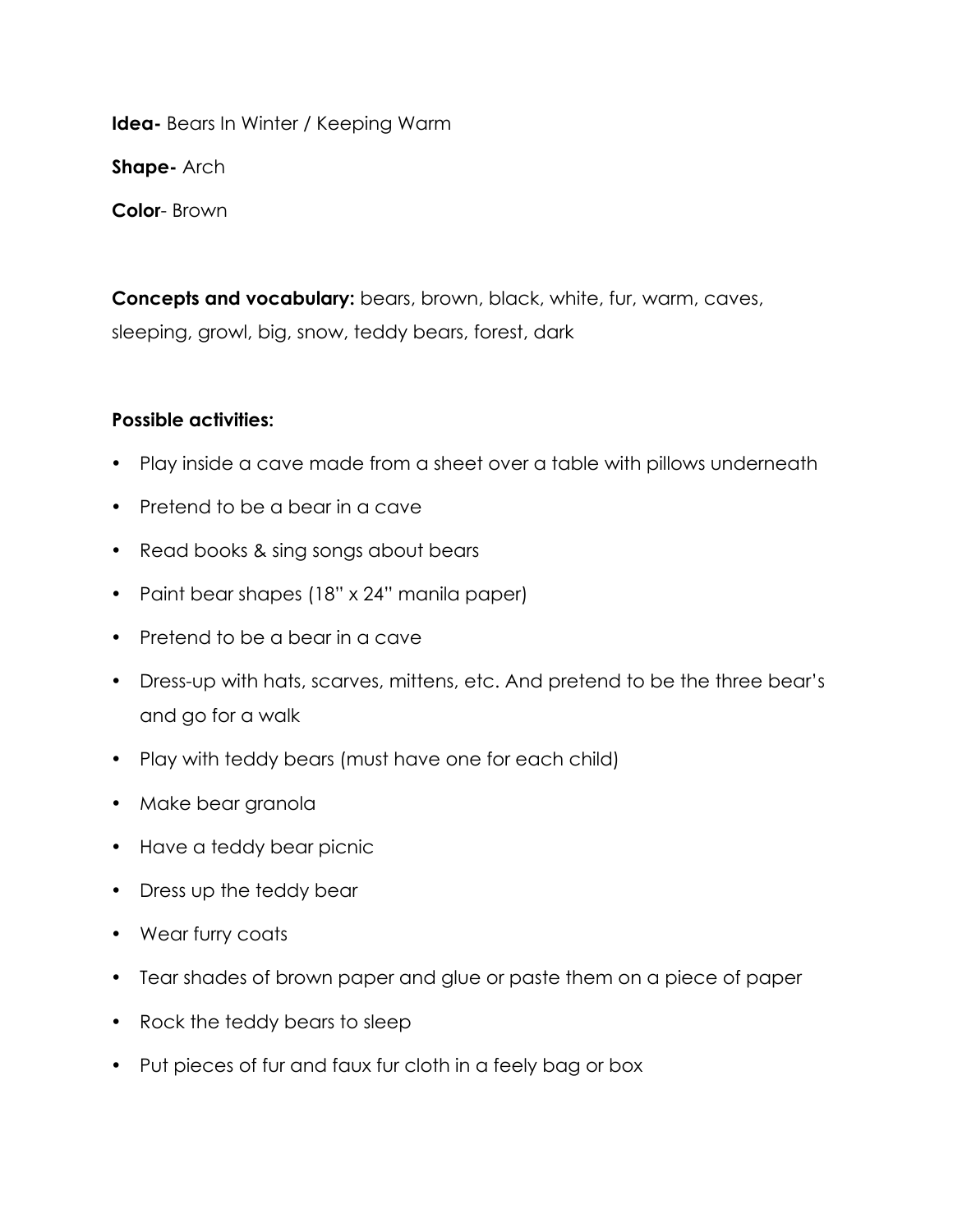**Idea-** Bears In Winter / Keeping Warm **Shape-** Arch **Color**- Brown

**Concepts and vocabulary:** bears, brown, black, white, fur, warm, caves, sleeping, growl, big, snow, teddy bears, forest, dark

- Play inside a cave made from a sheet over a table with pillows underneath
- Pretend to be a bear in a cave
- Read books & sing songs about bears
- Paint bear shapes (18" x 24" manila paper)
- Pretend to be a bear in a cave
- Dress-up with hats, scarves, mittens, etc. And pretend to be the three bear's and go for a walk
- Play with teddy bears (must have one for each child)
- Make bear granola
- Have a teddy bear picnic
- Dress up the teddy bear
- Wear furry coats
- Tear shades of brown paper and glue or paste them on a piece of paper
- Rock the teddy bears to sleep
- Put pieces of fur and faux fur cloth in a feely bag or box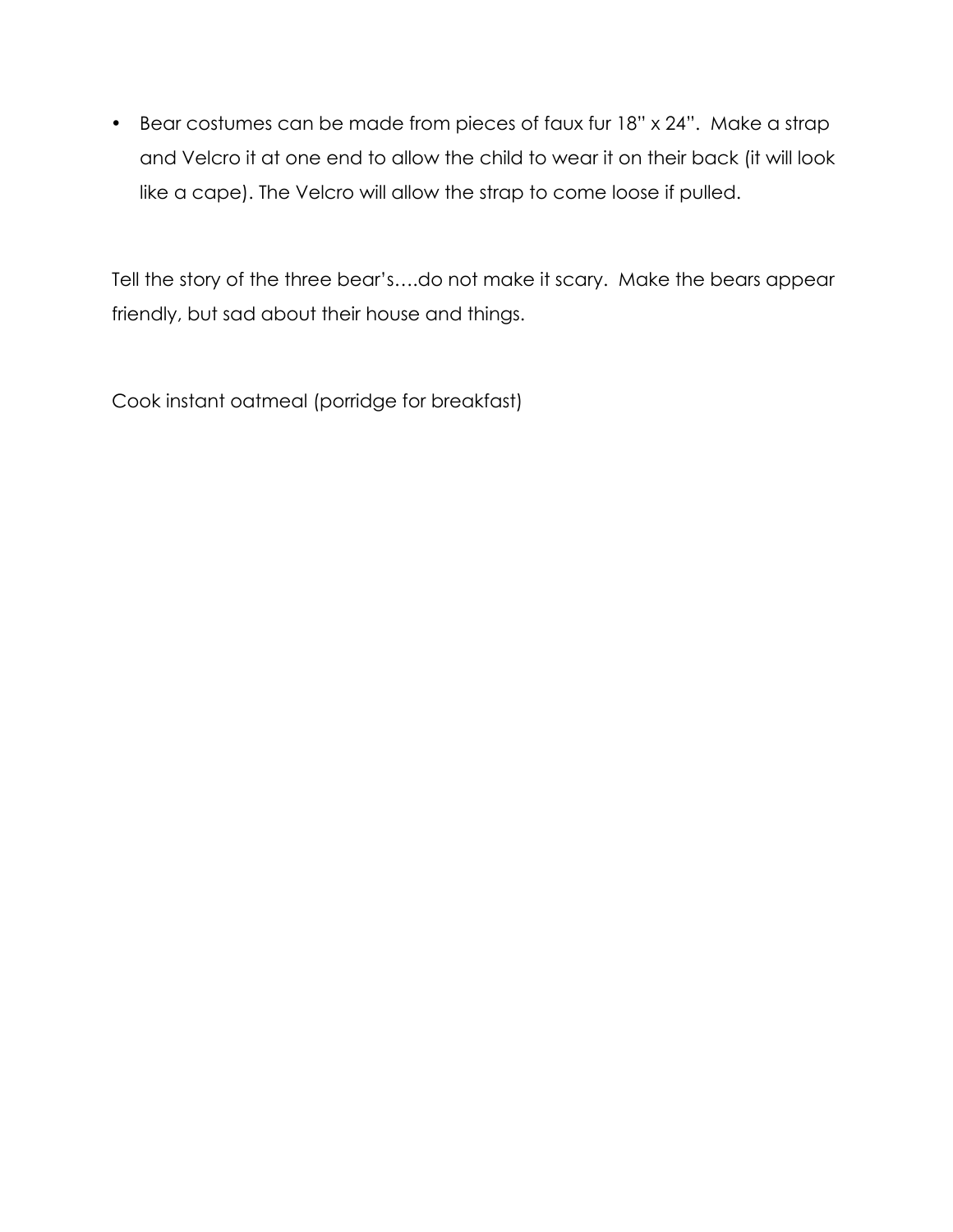• Bear costumes can be made from pieces of faux fur 18" x 24". Make a strap and Velcro it at one end to allow the child to wear it on their back (it will look like a cape). The Velcro will allow the strap to come loose if pulled.

Tell the story of the three bear's….do not make it scary. Make the bears appear friendly, but sad about their house and things.

Cook instant oatmeal (porridge for breakfast)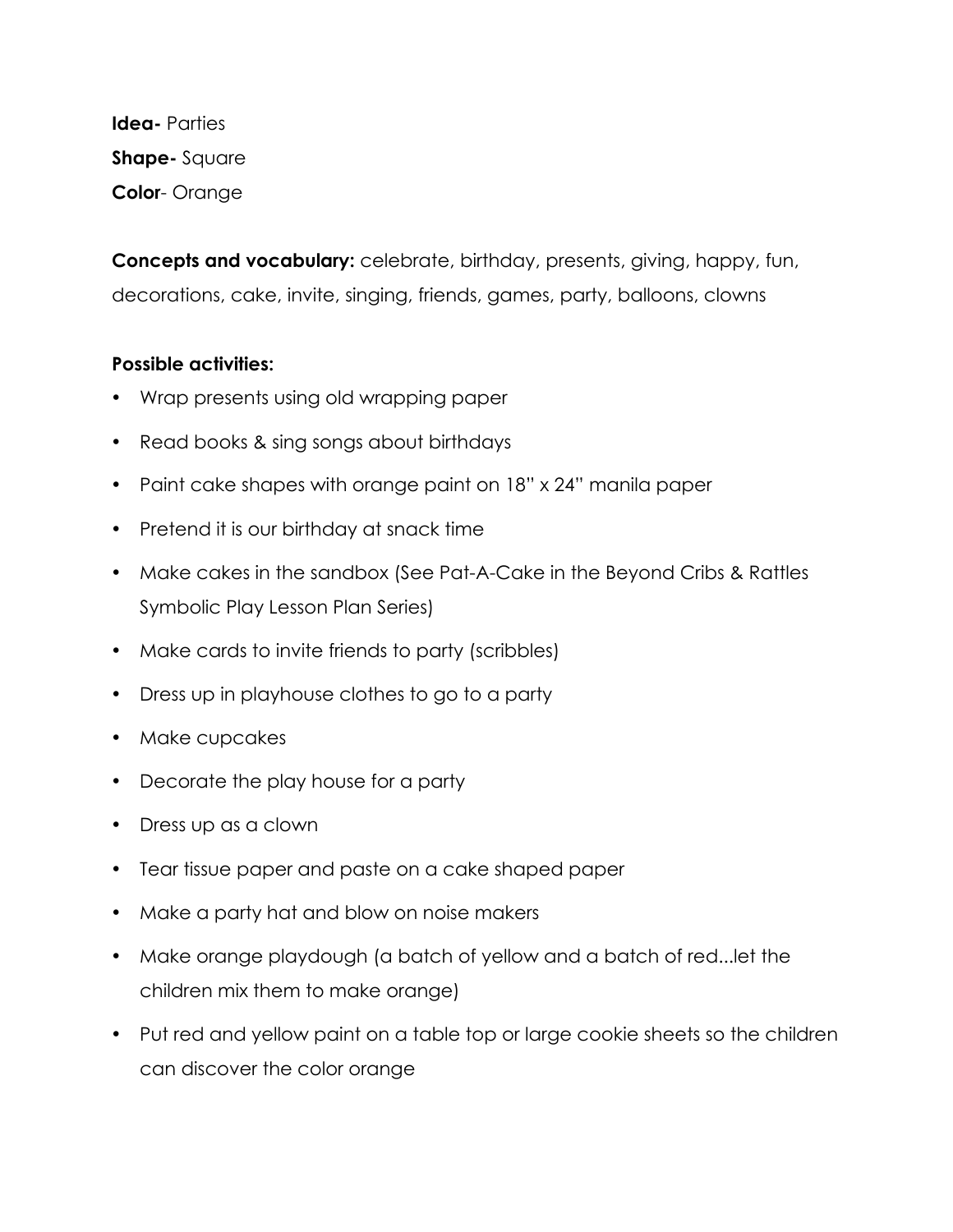**Idea-** Parties **Shape-** Square **Color**- Orange

**Concepts and vocabulary:** celebrate, birthday, presents, giving, happy, fun, decorations, cake, invite, singing, friends, games, party, balloons, clowns

- Wrap presents using old wrapping paper
- Read books & sing songs about birthdays
- Paint cake shapes with orange paint on 18" x 24" manila paper
- Pretend it is our birthday at snack time
- Make cakes in the sandbox (See Pat-A-Cake in the Beyond Cribs & Rattles Symbolic Play Lesson Plan Series)
- Make cards to invite friends to party (scribbles)
- Dress up in playhouse clothes to go to a party
- Make cupcakes
- Decorate the play house for a party
- Dress up as a clown
- Tear tissue paper and paste on a cake shaped paper
- Make a party hat and blow on noise makers
- Make orange playdough (a batch of yellow and a batch of red...let the children mix them to make orange)
- Put red and yellow paint on a table top or large cookie sheets so the children can discover the color orange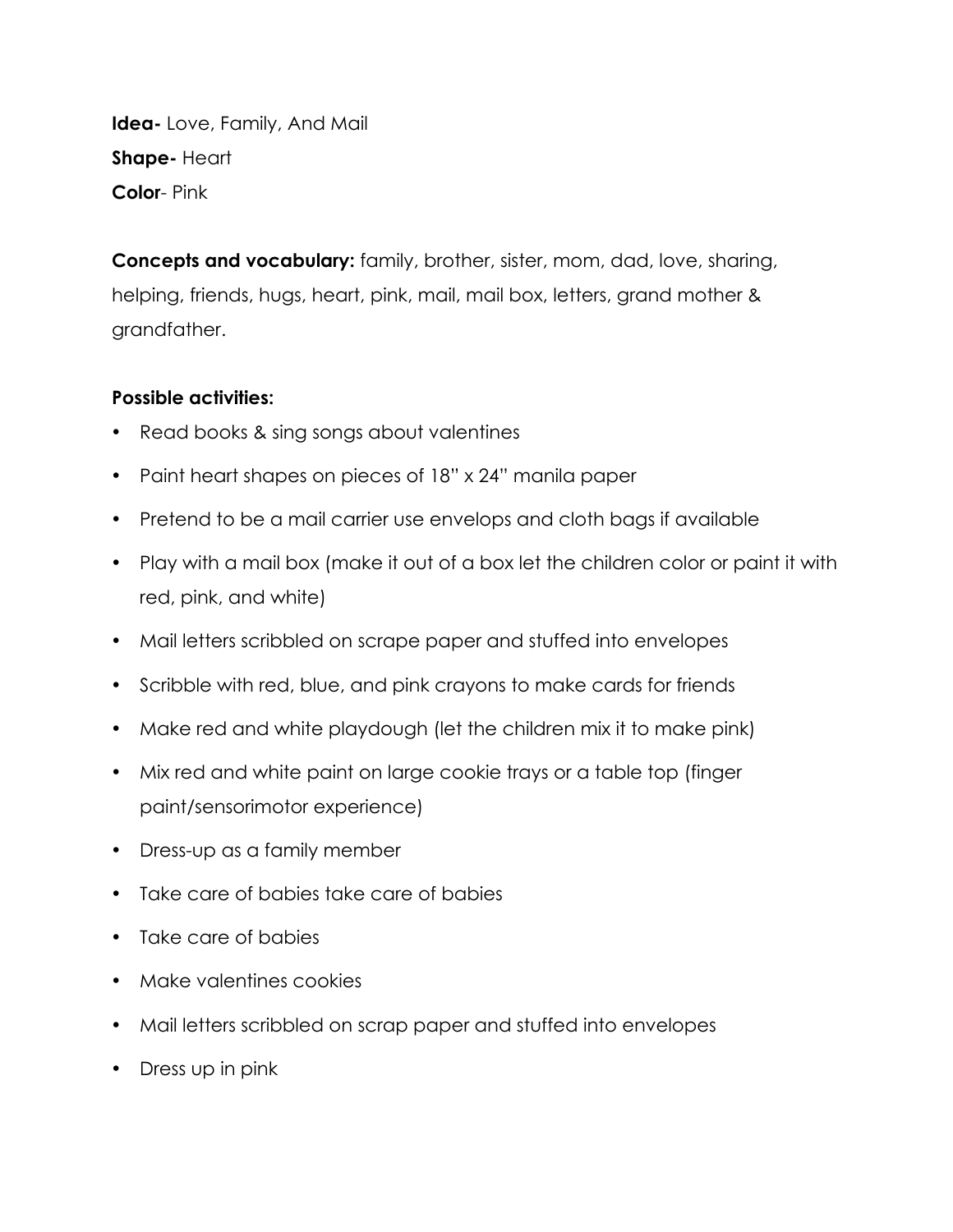**Idea-** Love, Family, And Mail **Shape-** Heart **Color**- Pink

**Concepts and vocabulary:** family, brother, sister, mom, dad, love, sharing, helping, friends, hugs, heart, pink, mail, mail box, letters, grand mother & grandfather.

- Read books & sing songs about valentines
- Paint heart shapes on pieces of 18" x 24" manila paper
- Pretend to be a mail carrier use envelops and cloth bags if available
- Play with a mail box (make it out of a box let the children color or paint it with red, pink, and white)
- Mail letters scribbled on scrape paper and stuffed into envelopes
- Scribble with red, blue, and pink crayons to make cards for friends
- Make red and white playdough (let the children mix it to make pink)
- Mix red and white paint on large cookie trays or a table top (finger paint/sensorimotor experience)
- Dress-up as a family member
- Take care of babies take care of babies
- Take care of babies
- Make valentines cookies
- Mail letters scribbled on scrap paper and stuffed into envelopes
- Dress up in pink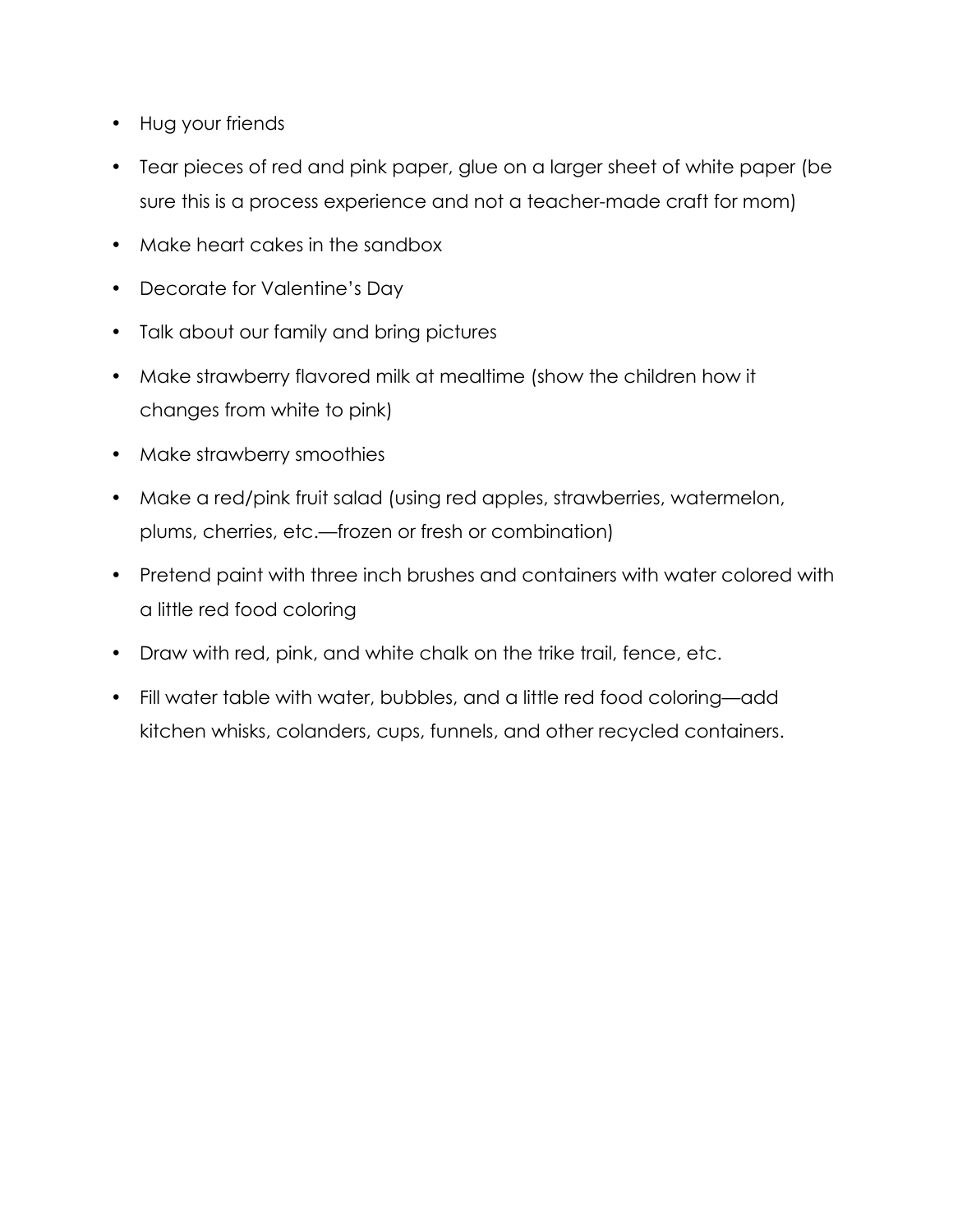- Hug your friends
- Tear pieces of red and pink paper, glue on a larger sheet of white paper (be sure this is a process experience and not a teacher-made craft for mom)
- Make heart cakes in the sandbox
- Decorate for Valentine's Day
- Talk about our family and bring pictures
- Make strawberry flavored milk at mealtime (show the children how it changes from white to pink)
- Make strawberry smoothies
- Make a red/pink fruit salad (using red apples, strawberries, watermelon, plums, cherries, etc.—frozen or fresh or combination)
- Pretend paint with three inch brushes and containers with water colored with a little red food coloring
- Draw with red, pink, and white chalk on the trike trail, fence, etc.
- Fill water table with water, bubbles, and a little red food coloring—add kitchen whisks, colanders, cups, funnels, and other recycled containers.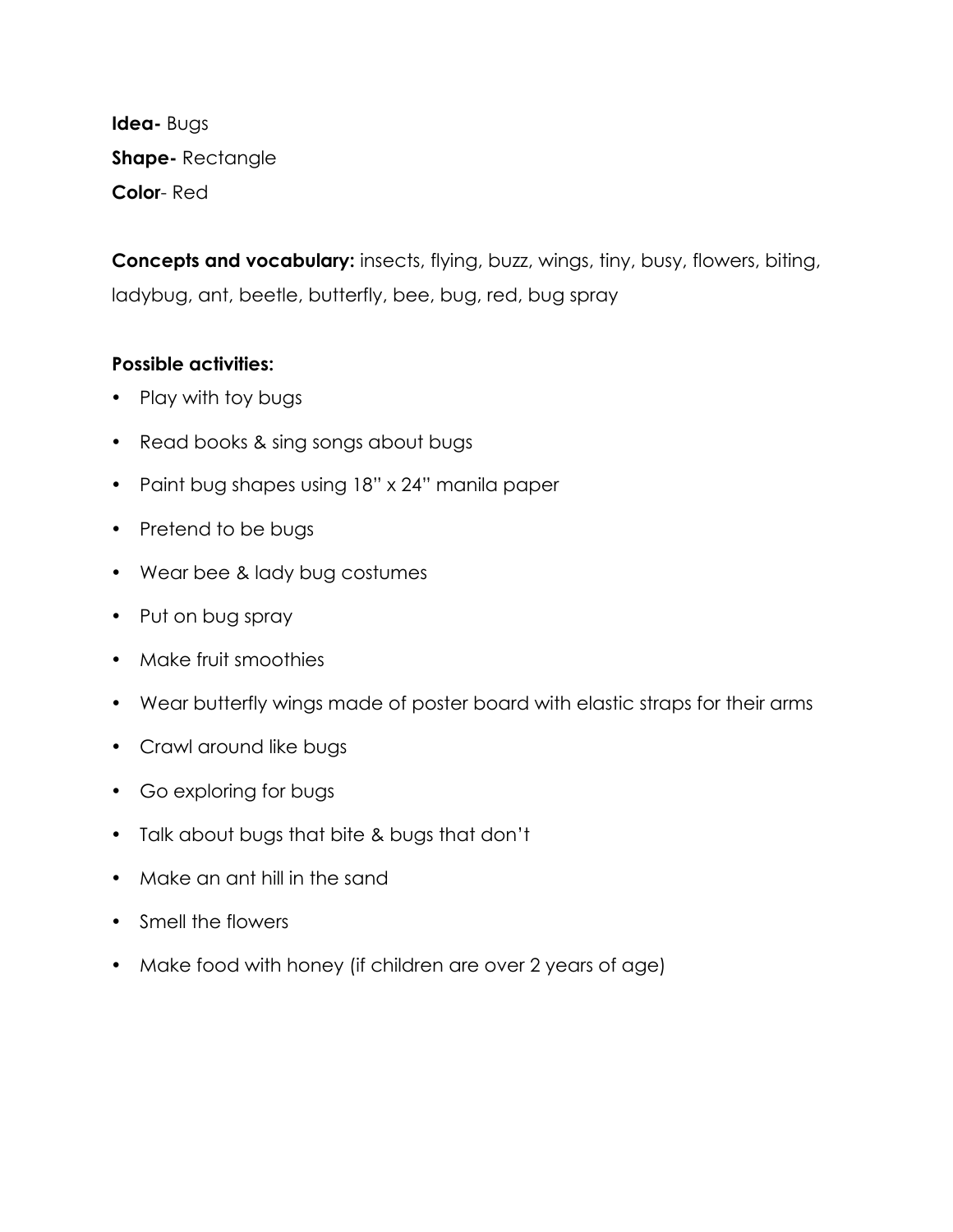**Idea-** Bugs **Shape-** Rectangle **Color**- Red

**Concepts and vocabulary:** insects, flying, buzz, wings, tiny, busy, flowers, biting, ladybug, ant, beetle, butterfly, bee, bug, red, bug spray

- Play with toy bugs
- Read books & sing songs about bugs
- Paint bug shapes using 18" x 24" manila paper
- Pretend to be bugs
- Wear bee & lady bug costumes
- Put on bug spray
- Make fruit smoothies
- Wear butterfly wings made of poster board with elastic straps for their arms
- Crawl around like bugs
- Go exploring for bugs
- Talk about bugs that bite & bugs that don't
- Make an ant hill in the sand
- Smell the flowers
- Make food with honey (if children are over 2 years of age)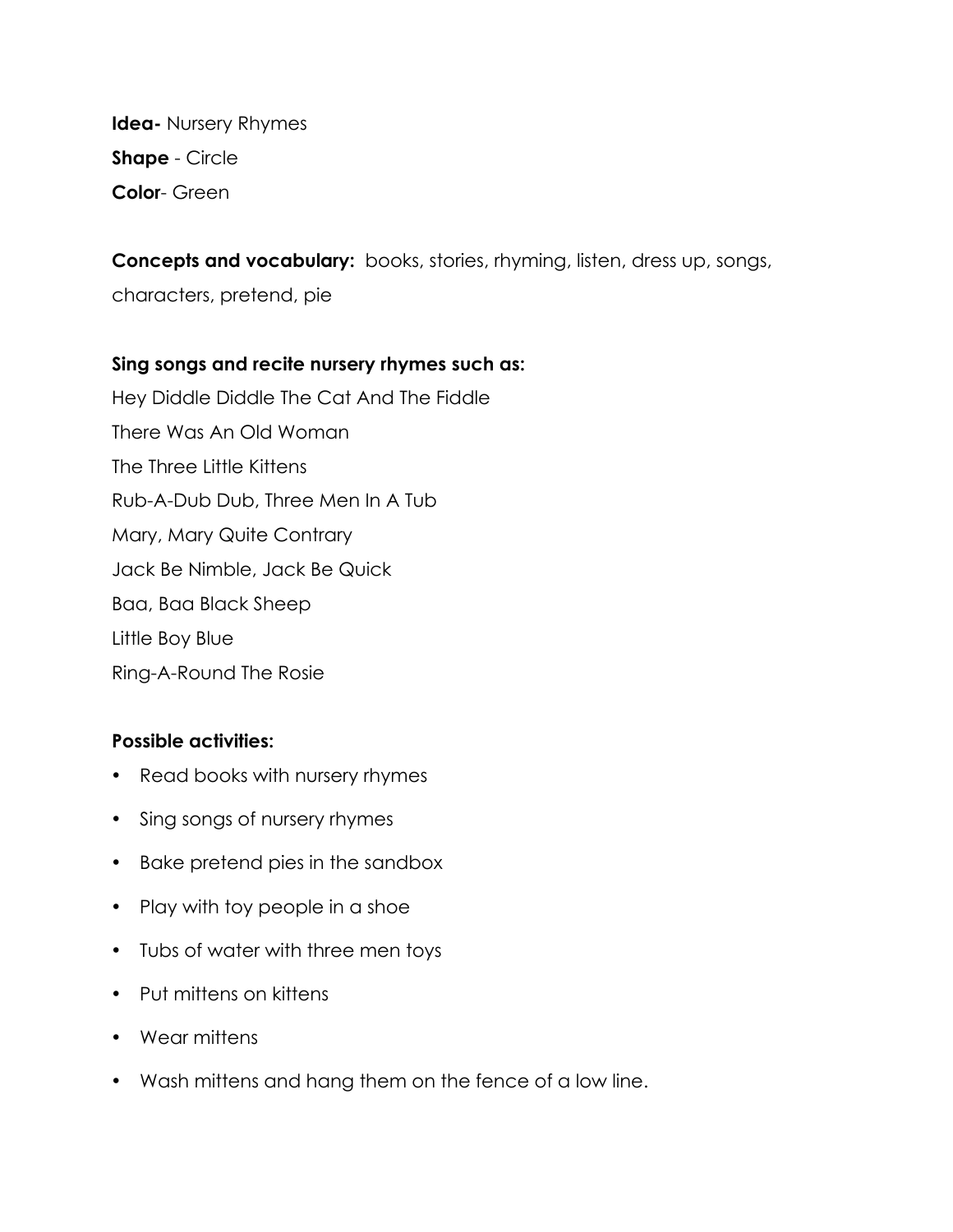**Idea-** Nursery Rhymes **Shape** - Circle **Color**- Green

**Concepts and vocabulary:** books, stories, rhyming, listen, dress up, songs,

characters, pretend, pie

#### **Sing songs and recite nursery rhymes such as:**

Hey Diddle Diddle The Cat And The Fiddle There Was An Old Woman The Three Little Kittens Rub-A-Dub Dub, Three Men In A Tub Mary, Mary Quite Contrary Jack Be Nimble, Jack Be Quick Baa, Baa Black Sheep Little Boy Blue Ring-A-Round The Rosie

- Read books with nursery rhymes
- Sing songs of nursery rhymes
- Bake pretend pies in the sandbox
- Play with toy people in a shoe
- Tubs of water with three men toys
- Put mittens on kittens
- Wear mittens
- Wash mittens and hang them on the fence of a low line.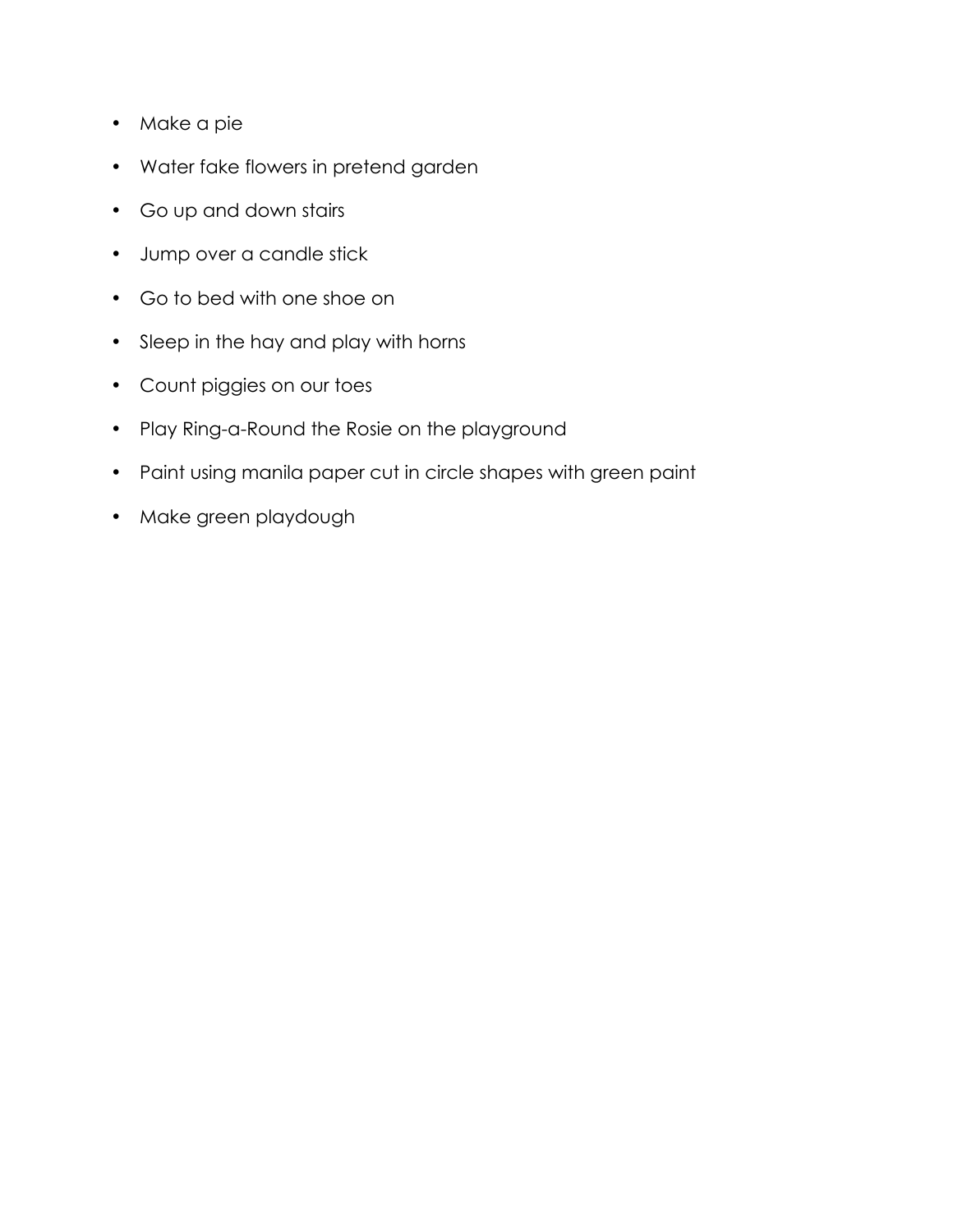- Make a pie
- Water fake flowers in pretend garden
- Go up and down stairs
- Jump over a candle stick
- Go to bed with one shoe on
- Sleep in the hay and play with horns
- Count piggies on our toes
- Play Ring-a-Round the Rosie on the playground
- Paint using manila paper cut in circle shapes with green paint
- Make green playdough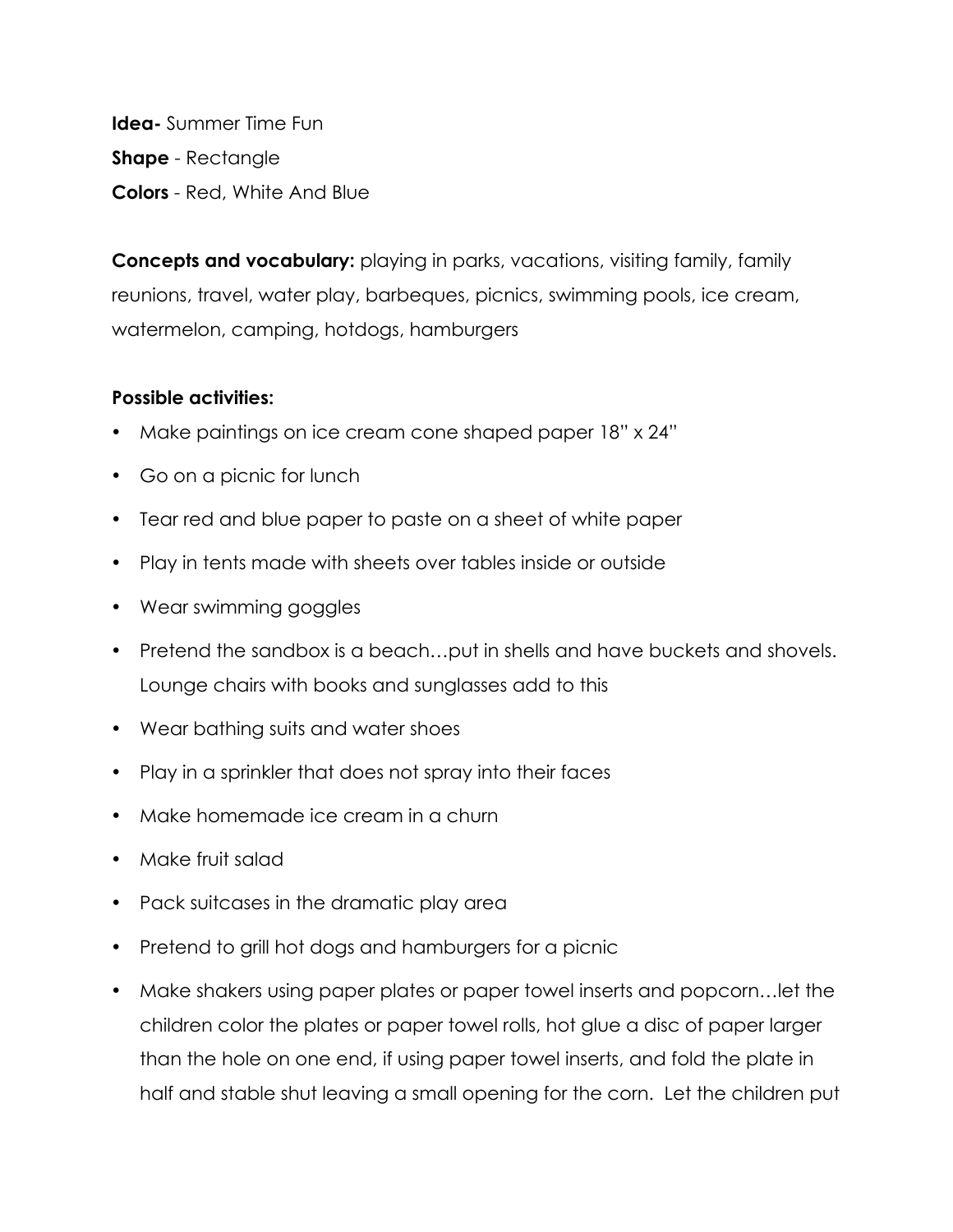**Idea-** Summer Time Fun **Shape** - Rectangle **Colors** - Red, White And Blue

**Concepts and vocabulary:** playing in parks, vacations, visiting family, family reunions, travel, water play, barbeques, picnics, swimming pools, ice cream, watermelon, camping, hotdogs, hamburgers

- Make paintings on ice cream cone shaped paper 18" x 24"
- Go on a picnic for lunch
- Tear red and blue paper to paste on a sheet of white paper
- Play in tents made with sheets over tables inside or outside
- Wear swimming goggles
- Pretend the sandbox is a beach…put in shells and have buckets and shovels. Lounge chairs with books and sunglasses add to this
- Wear bathing suits and water shoes
- Play in a sprinkler that does not spray into their faces
- Make homemade ice cream in a churn
- Make fruit salad
- Pack suitcases in the dramatic play area
- Pretend to grill hot dogs and hamburgers for a picnic
- Make shakers using paper plates or paper towel inserts and popcorn…let the children color the plates or paper towel rolls, hot glue a disc of paper larger than the hole on one end, if using paper towel inserts, and fold the plate in half and stable shut leaving a small opening for the corn. Let the children put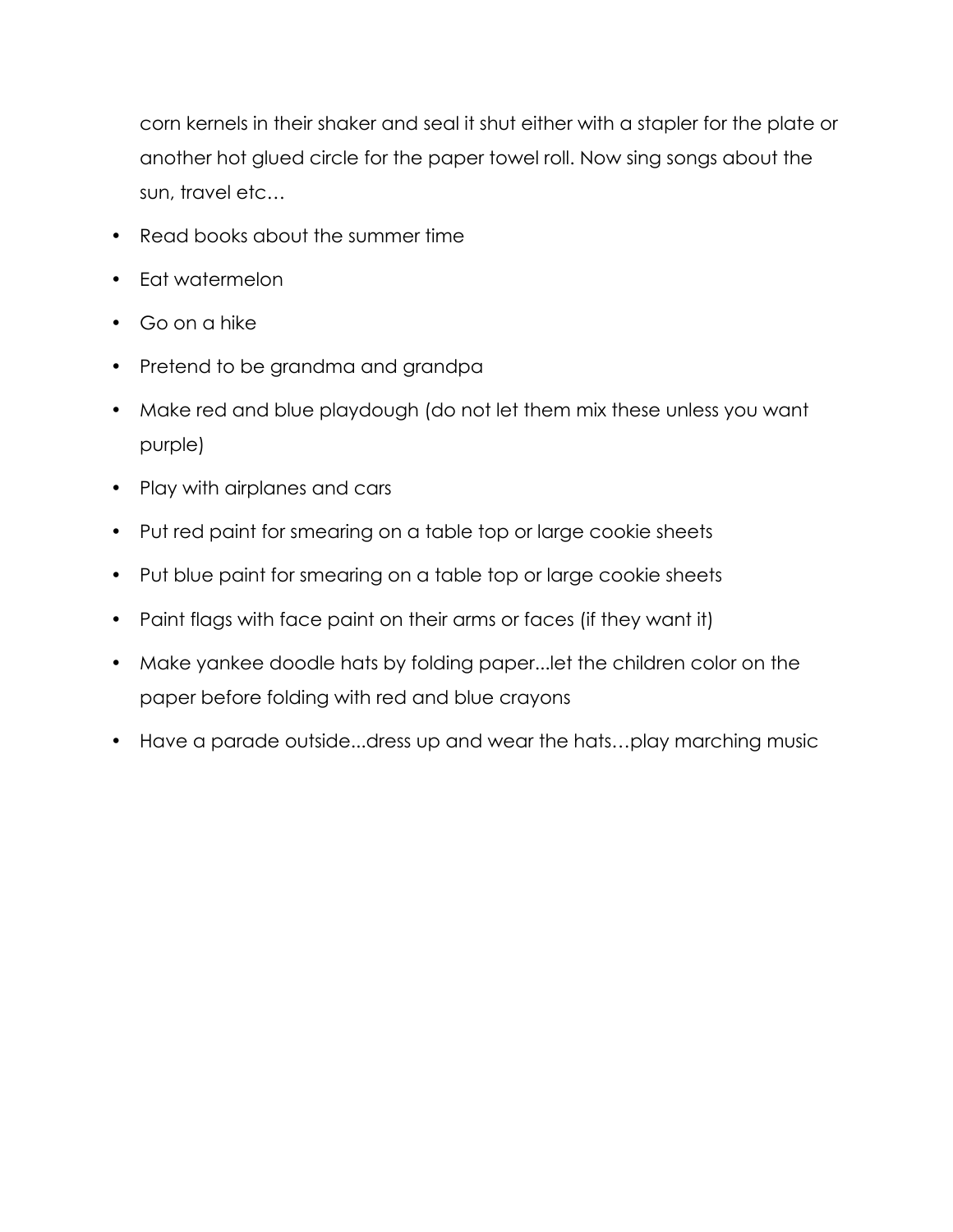corn kernels in their shaker and seal it shut either with a stapler for the plate or another hot glued circle for the paper towel roll. Now sing songs about the sun, travel etc…

- Read books about the summer time
- Eat watermelon
- Go on a hike
- Pretend to be grandma and grandpa
- Make red and blue playdough (do not let them mix these unless you want purple)
- Play with airplanes and cars
- Put red paint for smearing on a table top or large cookie sheets
- Put blue paint for smearing on a table top or large cookie sheets
- Paint flags with face paint on their arms or faces (if they want it)
- Make yankee doodle hats by folding paper...let the children color on the paper before folding with red and blue crayons
- Have a parade outside...dress up and wear the hats…play marching music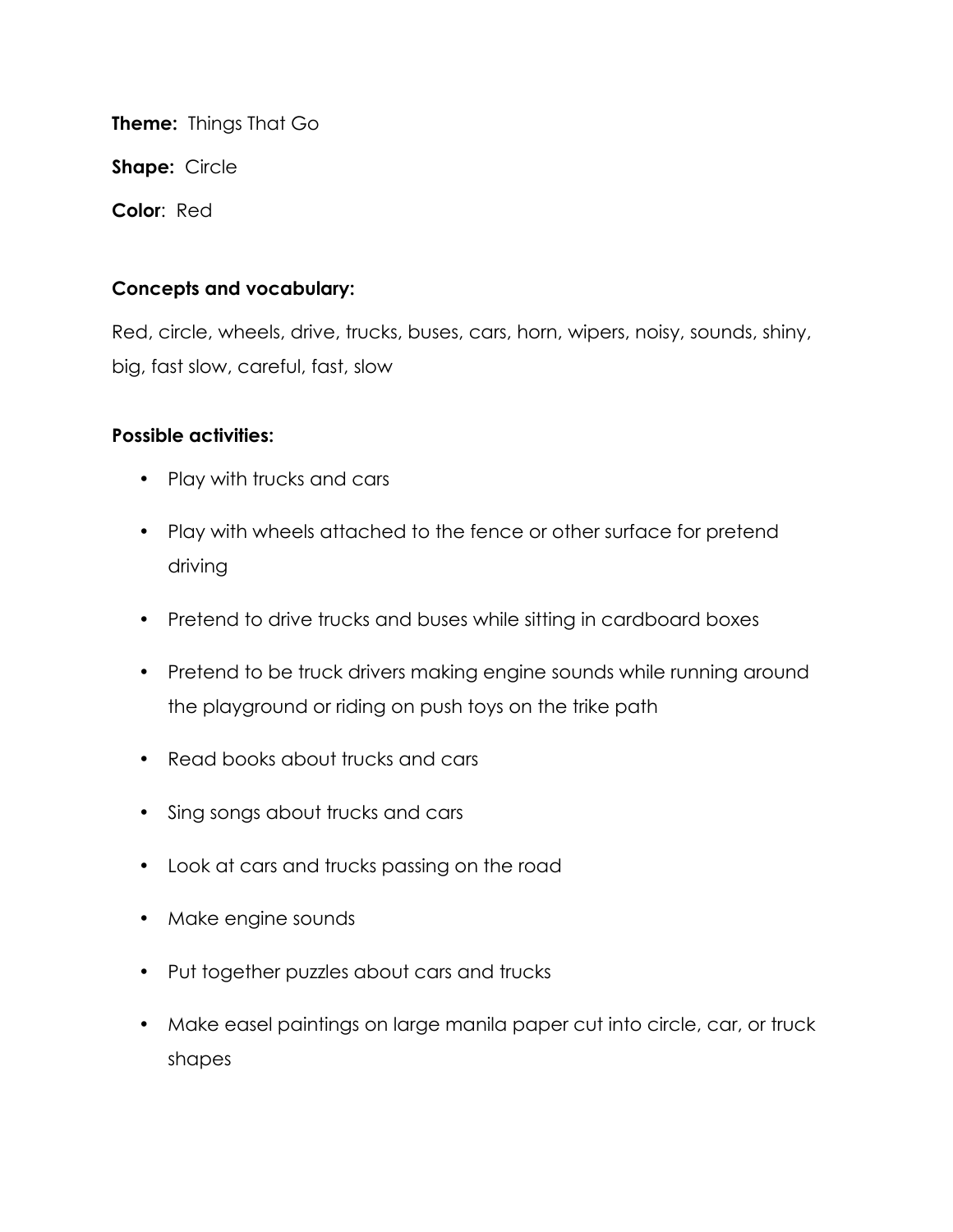**Theme:** Things That Go

**Shape:** Circle

**Color**: Red

## **Concepts and vocabulary:**

Red, circle, wheels, drive, trucks, buses, cars, horn, wipers, noisy, sounds, shiny, big, fast slow, careful, fast, slow

- Play with trucks and cars
- Play with wheels attached to the fence or other surface for pretend driving
- Pretend to drive trucks and buses while sitting in cardboard boxes
- Pretend to be truck drivers making engine sounds while running around the playground or riding on push toys on the trike path
- Read books about trucks and cars
- Sing songs about trucks and cars
- Look at cars and trucks passing on the road
- Make engine sounds
- Put together puzzles about cars and trucks
- Make easel paintings on large manila paper cut into circle, car, or truck shapes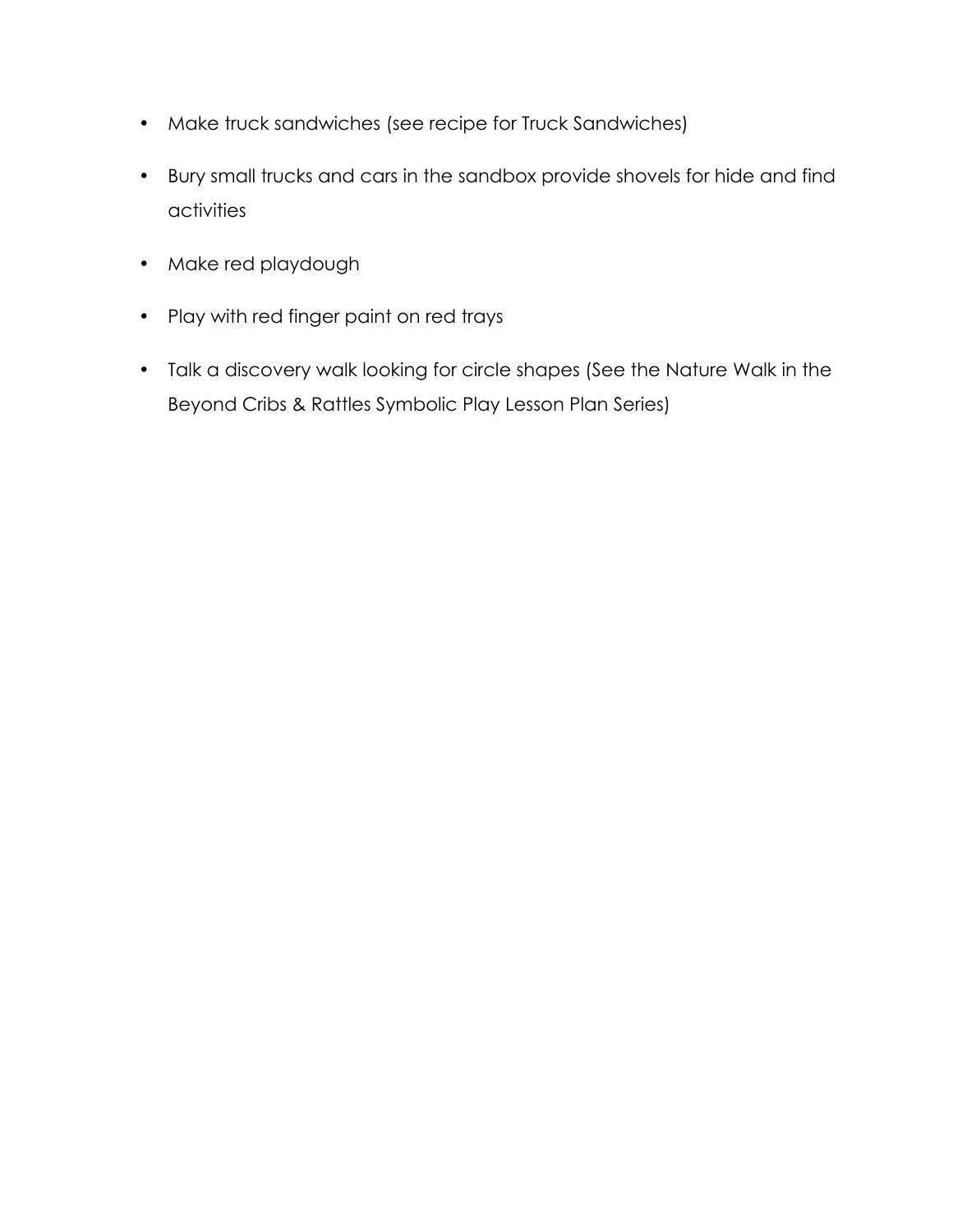- Make truck sandwiches (see recipe for Truck Sandwiches)
- Bury small trucks and cars in the sandbox provide shovels for hide and find activities
- Make red playdough
- Play with red finger paint on red trays
- Talk a discovery walk looking for circle shapes (See the Nature Walk in the Beyond Cribs & Rattles Symbolic Play Lesson Plan Series)